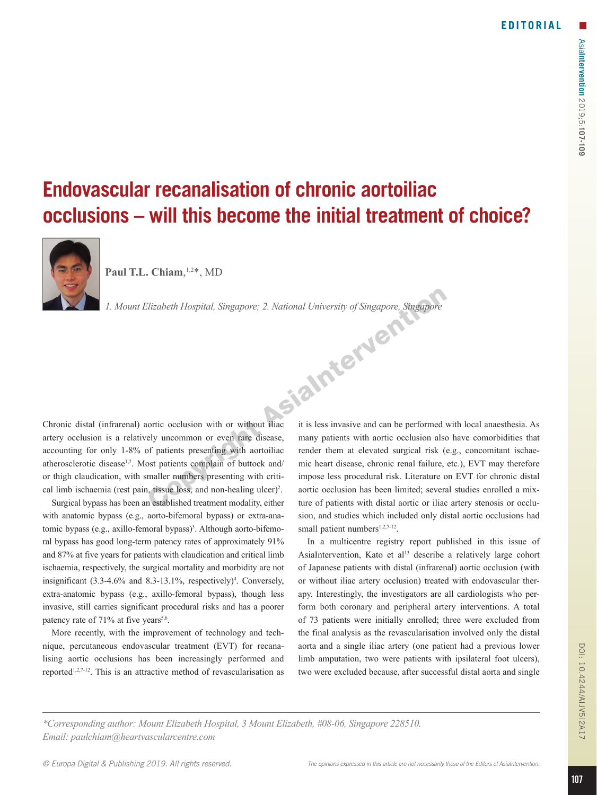## **Endovascular recanalisation of chronic aortoiliac occlusions – will this become the initial treatment of choice?**



**Paul T.L. Chiam**, 1,2\*, MD

*1. Mount Elizabeth Hospital, Singapore; 2. National University of Singapore, Singapore*

Chronic distal (infrarenal) aortic occlusion with or without iliac artery occlusion is a relatively uncommon or even rare disease, accounting for only 1-8% of patients presenting with aortoiliac atherosclerotic disease<sup>1,2</sup>. Most patients complain of buttock and/ or thigh claudication, with smaller numbers presenting with critical limb ischaemia (rest pain, tissue loss, and non-healing ulcer)<sup>2</sup>.

Surgical bypass has been an established treatment modality, either with anatomic bypass (e.g., aorto-bifemoral bypass) or extra-anatomic bypass (e.g., axillo-femoral bypass)<sup>3</sup>. Although aorto-bifemoral bypass has good long-term patency rates of approximately 91% and 87% at five years for patients with claudication and critical limb ischaemia, respectively, the surgical mortality and morbidity are not insignificant  $(3.3-4.6\%$  and  $8.3-13.1\%$ , respectively)<sup>4</sup>. Conversely, extra-anatomic bypass (e.g., axillo-femoral bypass), though less invasive, still carries significant procedural risks and has a poorer patency rate of  $71\%$  at five years<sup>5,6</sup>.

More recently, with the improvement of technology and technique, percutaneous endovascular treatment (EVT) for recanalising aortic occlusions has been increasingly performed and reported<sup>1,2,7-12</sup>. This is an attractive method of revascularisation as it is less invasive and can be performed with local anaesthesia. As many patients with aortic occlusion also have comorbidities that render them at elevated surgical risk (e.g., concomitant ischaemic heart disease, chronic renal failure, etc.), EVT may therefore impose less procedural risk. Literature on EVT for chronic distal aortic occlusion has been limited; several studies enrolled a mixture of patients with distal aortic or iliac artery stenosis or occlusion, and studies which included only distal aortic occlusions had small patient numbers $1,2,7-12$ .

In a multicentre registry report published in this issue of AsiaIntervention, Kato et al<sup>13</sup> describe a relatively large cohort of Japanese patients with distal (infrarenal) aortic occlusion (with or without iliac artery occlusion) treated with endovascular therapy. Interestingly, the investigators are all cardiologists who perform both coronary and peripheral artery interventions. A total of 73 patients were initially enrolled; three were excluded from the final analysis as the revascularisation involved only the distal aorta and a single iliac artery (one patient had a previous lower limb amputation, two were patients with ipsilateral foot ulcers), two were excluded because, after successful distal aorta and single

*\*Corresponding author: Mount Elizabeth Hospital, 3 Mount Elizabeth, #08-06, Singapore 228510. Email: paulchiam@heartvascularcentre.com*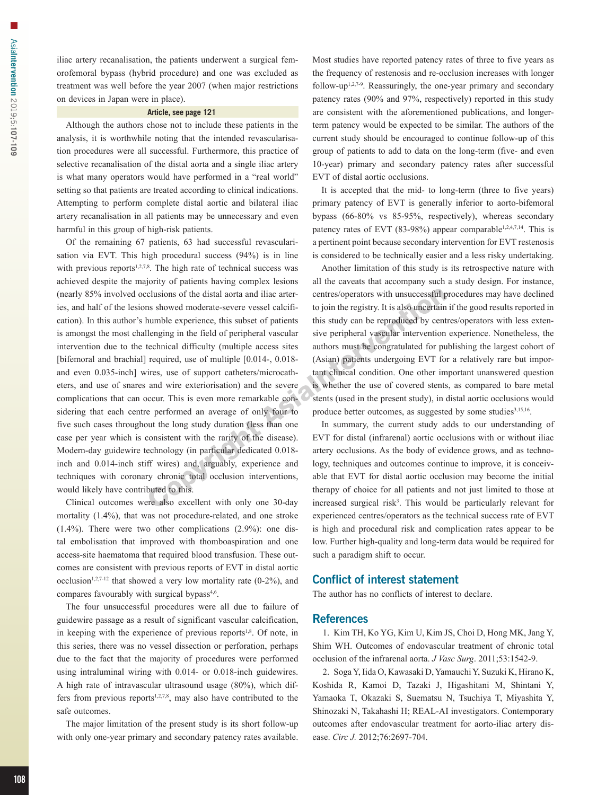iliac artery recanalisation, the patients underwent a surgical femorofemoral bypass (hybrid procedure) and one was excluded as treatment was well before the year 2007 (when major restrictions on devices in Japan were in place).

## **Article, see page 121**

Although the authors chose not to include these patients in the analysis, it is worthwhile noting that the intended revascularisation procedures were all successful. Furthermore, this practice of selective recanalisation of the distal aorta and a single iliac artery is what many operators would have performed in a "real world" setting so that patients are treated according to clinical indications. Attempting to perform complete distal aortic and bilateral iliac artery recanalisation in all patients may be unnecessary and even harmful in this group of high-risk patients.

Of the remaining 67 patients, 63 had successful revascularisation via EVT. This high procedural success (94%) is in line with previous reports $1,2,7,8$ . The high rate of technical success was achieved despite the majority of patients having complex lesions (nearly 85% involved occlusions of the distal aorta and iliac arteries, and half of the lesions showed moderate-severe vessel calcification). In this author's humble experience, this subset of patients is amongst the most challenging in the field of peripheral vascular intervention due to the technical difficulty (multiple access sites [bifemoral and brachial] required, use of multiple [0.014-, 0.018and even 0.035-inch] wires, use of support catheters/microcatheters, and use of snares and wire exteriorisation) and the severe complications that can occur. This is even more remarkable considering that each centre performed an average of only four to five such cases throughout the long study duration (less than one case per year which is consistent with the rarity of the disease). Modern-day guidewire technology (in particular dedicated 0.018 inch and 0.014-inch stiff wires) and, arguably, experience and techniques with coronary chronic total occlusion interventions, would likely have contributed to this.

Clinical outcomes were also excellent with only one 30-day mortality (1.4%), that was not procedure-related, and one stroke (1.4%). There were two other complications (2.9%): one distal embolisation that improved with thomboaspiration and one access-site haematoma that required blood transfusion. These outcomes are consistent with previous reports of EVT in distal aortic occlusion<sup>1,2,7-12</sup> that showed a very low mortality rate  $(0-2\%)$ , and compares favourably with surgical bypass<sup>4,6</sup>.

The four unsuccessful procedures were all due to failure of guidewire passage as a result of significant vascular calcification, in keeping with the experience of previous reports<sup>1,8</sup>. Of note, in this series, there was no vessel dissection or perforation, perhaps due to the fact that the majority of procedures were performed using intraluminal wiring with 0.014- or 0.018-inch guidewires. A high rate of intravascular ultrasound usage (80%), which differs from previous reports $1,2,7,8$ , may also have contributed to the safe outcomes.

The major limitation of the present study is its short follow-up with only one-year primary and secondary patency rates available. Most studies have reported patency rates of three to five years as the frequency of restenosis and re-occlusion increases with longer follow-up<sup>1,2,7-9</sup>. Reassuringly, the one-year primary and secondary patency rates (90% and 97%, respectively) reported in this study are consistent with the aforementioned publications, and longerterm patency would be expected to be similar. The authors of the current study should be encouraged to continue follow-up of this group of patients to add to data on the long-term (five- and even 10-year) primary and secondary patency rates after successful EVT of distal aortic occlusions.

It is accepted that the mid- to long-term (three to five years) primary patency of EVT is generally inferior to aorto-bifemoral bypass (66-80% vs 85-95%, respectively), whereas secondary patency rates of EVT (83-98%) appear comparable<sup>1,2,4,7,14</sup>. This is a pertinent point because secondary intervention for EVT restenosis is considered to be technically easier and a less risky undertaking.

Another limitation of this study is its retrospective nature with all the caveats that accompany such a study design. For instance, centres/operators with unsuccessful procedures may have declined to join the registry. It is also uncertain if the good results reported in this study can be reproduced by centres/operators with less extensive peripheral vascular intervention experience. Nonetheless, the authors must be congratulated for publishing the largest cohort of (Asian) patients undergoing EVT for a relatively rare but important clinical condition. One other important unanswered question is whether the use of covered stents, as compared to bare metal stents (used in the present study), in distal aortic occlusions would produce better outcomes, as suggested by some studies<sup>3,15,16</sup>.

In summary, the current study adds to our understanding of EVT for distal (infrarenal) aortic occlusions with or without iliac artery occlusions. As the body of evidence grows, and as technology, techniques and outcomes continue to improve, it is conceivable that EVT for distal aortic occlusion may become the initial therapy of choice for all patients and not just limited to those at increased surgical risk<sup>3</sup>. This would be particularly relevant for experienced centres/operators as the technical success rate of EVT is high and procedural risk and complication rates appear to be low. Further high-quality and long-term data would be required for such a paradigm shift to occur.

## Conflict of interest statement

The author has no conflicts of interest to declare.

## **References**

1. Kim TH, Ko YG, Kim U, Kim JS, Choi D, Hong MK, Jang Y, Shim WH. Outcomes of endovascular treatment of chronic total occlusion of the infrarenal aorta. *J Vasc Surg*. 2011;53:1542-9.

2. Soga Y, Iida O, Kawasaki D, Yamauchi Y, Suzuki K, Hirano K, Koshida R, Kamoi D, Tazaki J, Higashitani M, Shintani Y, Yamaoka T, Okazaki S, Suematsu N, Tsuchiya T, Miyashita Y, Shinozaki N, Takahashi H; REAL-AI investigators. Contemporary outcomes after endovascular treatment for aorto-iliac artery disease. *Circ J.* 2012;76:2697-704.